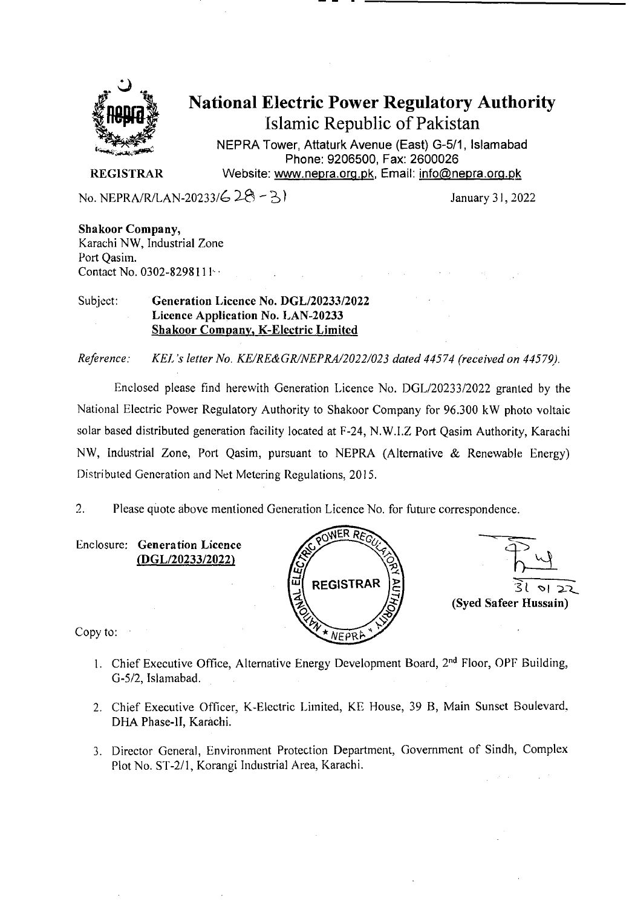

# National Electric Power Regulatory Authority Islamic Republic of Pakistan

NEPRA Tower, Attaturk Avenue (East) G-511, Islamabad Phone: 9206500, Fax: 2600026 **REGISTRAR Website: www.nepra.org.pk, Email: info@nepra.org.pk** 

No. NEPRA/R/LAN-20233/6  $28 - 3$ 

**Shakoor Company,**  Karachi NW, Industrial Zone Port Qasim. Contact No. 0302-8298111 ··

#### Subject: **Generation Licence No. DGL/20233/2022 Licence Application No. LAN-20233 Shakoor Company, K-Electric Limited**

*Reference. KEL 's letter No. KE/RE&GR/NEPRA/2022/023 dated 44574 (received on 44579).* 

Enclosed please find herewith Generation Licence No. DGL/20233/2022 granted by the National Electric Power Regulatory Authority to Shakoor Company for 96.300 kW photo voltaic solar based distributed generation facility located at F-24, N.W.I.Z Port Qasim Authority, Karachi NW, Industrial Zone, Port Qasim, pursuant to NEPRA (Alternative & Renewable Energy) Distributed Generation and Net Metering Regulations, 2015.

 $\overline{2}$ . Please quote above mentioned Generation Licence No. for future correspondence.

Enclosure: **Generation Licence (DGL/20233/2022)** 





Copy to:  $\rightarrow$ 

- 1. Chief Executive Office, Alternative Energy Development Board, 2<sup>nd</sup> Floor, OPF Building, G-5/2, Islamabad.
- 2. Chief Executive Officer, K-Electric Limited, KE House, 39 B, Main Sunset Boulevard, DHA Phase-li, Karàchi.
- 3. Director General, Environment Protection Department, Government of Sindh, Complex Plot No. ST-2/l, Korangi Industrial Area, Karachi.